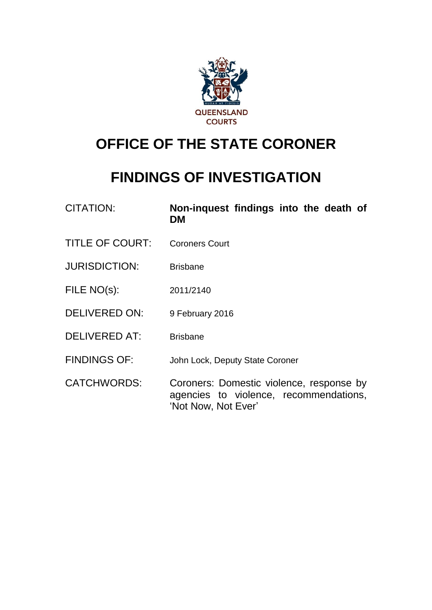

# **OFFICE OF THE STATE CORONER**

# **FINDINGS OF INVESTIGATION**

| <b>CITATION:</b>       | Non-inquest findings into the death of<br>DM                                                              |
|------------------------|-----------------------------------------------------------------------------------------------------------|
| <b>TITLE OF COURT:</b> | <b>Coroners Court</b>                                                                                     |
| <b>JURISDICTION:</b>   | <b>Brisbane</b>                                                                                           |
| FILE NO(s):            | 2011/2140                                                                                                 |
| <b>DELIVERED ON:</b>   | 9 February 2016                                                                                           |
| <b>DELIVERED AT:</b>   | <b>Brisbane</b>                                                                                           |
| <b>FINDINGS OF:</b>    | John Lock, Deputy State Coroner                                                                           |
| <b>CATCHWORDS:</b>     | Coroners: Domestic violence, response by<br>agencies to violence, recommendations,<br>'Not Now, Not Ever' |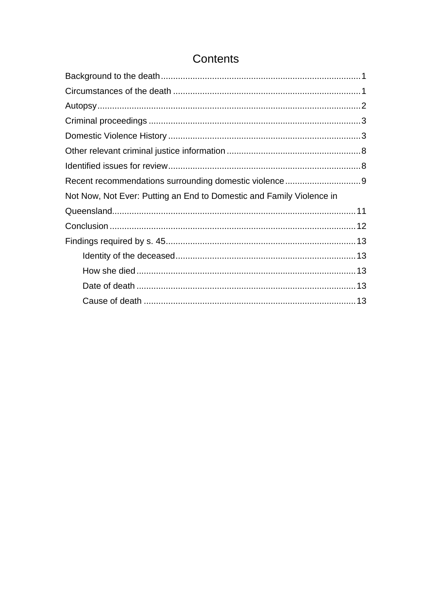# Contents

| Not Now, Not Ever: Putting an End to Domestic and Family Violence in |  |
|----------------------------------------------------------------------|--|
|                                                                      |  |
|                                                                      |  |
|                                                                      |  |
|                                                                      |  |
|                                                                      |  |
|                                                                      |  |
|                                                                      |  |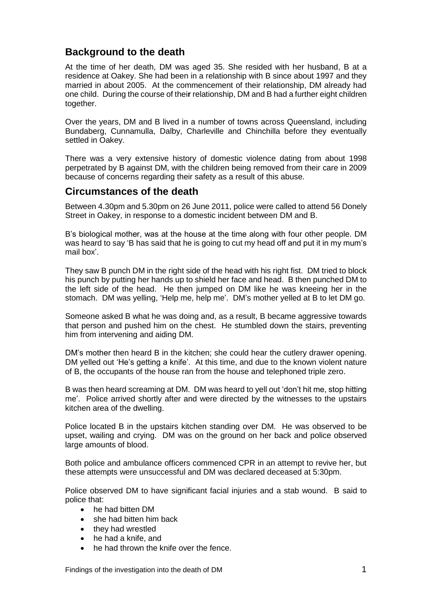# <span id="page-2-0"></span>**Background to the death**

At the time of her death, DM was aged 35. She resided with her husband, B at a residence at Oakey. She had been in a relationship with B since about 1997 and they married in about 2005. At the commencement of their relationship, DM already had one child. During the course of thei**r** relationship, DM and B had a further eight children together.

Over the years, DM and B lived in a number of towns across Queensland, including Bundaberg, Cunnamulla, Dalby, Charleville and Chinchilla before they eventually settled in Oakey.

There was a very extensive history of domestic violence dating from about 1998 perpetrated by B against DM, with the children being removed from their care in 2009 because of concerns regarding their safety as a result of this abuse.

## <span id="page-2-1"></span>**Circumstances of the death**

Between 4.30pm and 5.30pm on 26 June 2011, police were called to attend 56 Donely Street in Oakey, in response to a domestic incident between DM and B.

B's biological mother, was at the house at the time along with four other people. DM was heard to say 'B has said that he is going to cut my head off and put it in my mum's mail box'.

They saw B punch DM in the right side of the head with his right fist. DM tried to block his punch by putting her hands up to shield her face and head. B then punched DM to the left side of the head. He then jumped on DM like he was kneeing her in the stomach. DM was yelling, 'Help me, help me'. DM's mother yelled at B to let DM go.

Someone asked B what he was doing and, as a result, B became aggressive towards that person and pushed him on the chest. He stumbled down the stairs, preventing him from intervening and aiding DM.

DM's mother then heard B in the kitchen; she could hear the cutlery drawer opening. DM yelled out 'He's getting a knife'. At this time, and due to the known violent nature of B, the occupants of the house ran from the house and telephoned triple zero.

B was then heard screaming at DM. DM was heard to yell out 'don't hit me, stop hitting me'. Police arrived shortly after and were directed by the witnesses to the upstairs kitchen area of the dwelling.

Police located B in the upstairs kitchen standing over DM. He was observed to be upset, wailing and crying. DM was on the ground on her back and police observed large amounts of blood.

Both police and ambulance officers commenced CPR in an attempt to revive her, but these attempts were unsuccessful and DM was declared deceased at 5:30pm.

Police observed DM to have significant facial injuries and a stab wound. B said to police that:

- he had bitten DM
- she had bitten him back
- they had wrestled
- he had a knife, and
- he had thrown the knife over the fence.

Findings of the investigation into the death of DM 1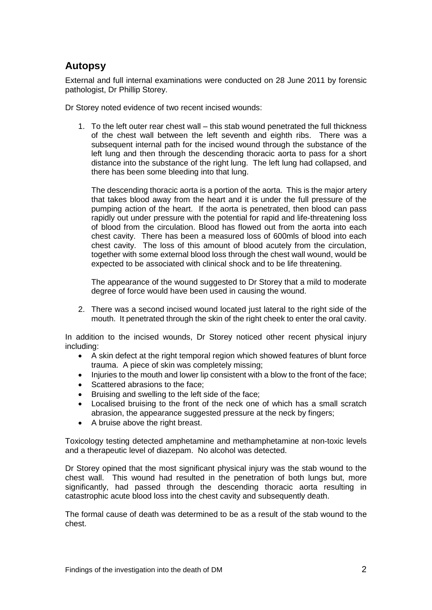# <span id="page-3-0"></span>**Autopsy**

External and full internal examinations were conducted on 28 June 2011 by forensic pathologist, Dr Phillip Storey.

Dr Storey noted evidence of two recent incised wounds:

1. To the left outer rear chest wall – this stab wound penetrated the full thickness of the chest wall between the left seventh and eighth ribs. There was a subsequent internal path for the incised wound through the substance of the left lung and then through the descending thoracic aorta to pass for a short distance into the substance of the right lung. The left lung had collapsed, and there has been some bleeding into that lung.

The descending thoracic aorta is a portion of the aorta. This is the major artery that takes blood away from the heart and it is under the full pressure of the pumping action of the heart. If the aorta is penetrated, then blood can pass rapidly out under pressure with the potential for rapid and life-threatening loss of blood from the circulation. Blood has flowed out from the aorta into each chest cavity. There has been a measured loss of 600mls of blood into each chest cavity. The loss of this amount of blood acutely from the circulation, together with some external blood loss through the chest wall wound, would be expected to be associated with clinical shock and to be life threatening.

The appearance of the wound suggested to Dr Storey that a mild to moderate degree of force would have been used in causing the wound.

2. There was a second incised wound located just lateral to the right side of the mouth. It penetrated through the skin of the right cheek to enter the oral cavity.

In addition to the incised wounds, Dr Storey noticed other recent physical injury including:

- A skin defect at the right temporal region which showed features of blunt force trauma. A piece of skin was completely missing;
- Injuries to the mouth and lower lip consistent with a blow to the front of the face;
- Scattered abrasions to the face;
- Bruising and swelling to the left side of the face;
- Localised bruising to the front of the neck one of which has a small scratch abrasion, the appearance suggested pressure at the neck by fingers;
- A bruise above the right breast.

Toxicology testing detected amphetamine and methamphetamine at non-toxic levels and a therapeutic level of diazepam. No alcohol was detected.

Dr Storey opined that the most significant physical injury was the stab wound to the chest wall. This wound had resulted in the penetration of both lungs but, more significantly, had passed through the descending thoracic aorta resulting in catastrophic acute blood loss into the chest cavity and subsequently death.

The formal cause of death was determined to be as a result of the stab wound to the chest.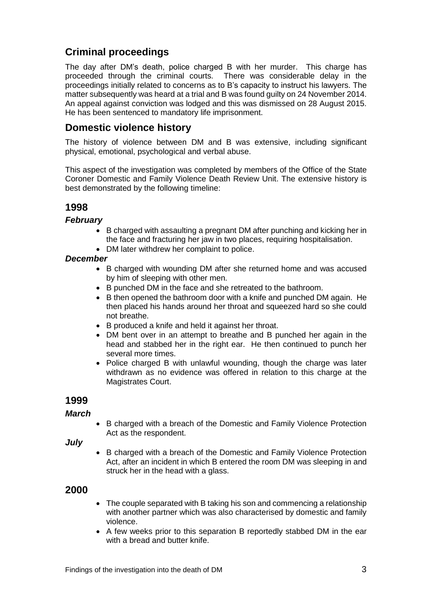# <span id="page-4-0"></span>**Criminal proceedings**

The day after DM's death, police charged B with her murder. This charge has proceeded through the criminal courts. There was considerable delay in the proceedings initially related to concerns as to B's capacity to instruct his lawyers. The matter subsequently was heard at a trial and B was found guilty on 24 November 2014. An appeal against conviction was lodged and this was dismissed on 28 August 2015. He has been sentenced to mandatory life imprisonment.

# <span id="page-4-1"></span>**Domestic violence history**

The history of violence between DM and B was extensive, including significant physical, emotional, psychological and verbal abuse.

This aspect of the investigation was completed by members of the Office of the State Coroner Domestic and Family Violence Death Review Unit. The extensive history is best demonstrated by the following timeline:

## **1998**

#### *February*

- B charged with assaulting a pregnant DM after punching and kicking her in the face and fracturing her jaw in two places, requiring hospitalisation.
- DM later withdrew her complaint to police.

#### *December*

- B charged with wounding DM after she returned home and was accused by him of sleeping with other men.
- B punched DM in the face and she retreated to the bathroom.
- B then opened the bathroom door with a knife and punched DM again. He then placed his hands around her throat and squeezed hard so she could not breathe.
- B produced a knife and held it against her throat.
- DM bent over in an attempt to breathe and B punched her again in the head and stabbed her in the right ear. He then continued to punch her several more times.
- Police charged B with unlawful wounding, though the charge was later withdrawn as no evidence was offered in relation to this charge at the Magistrates Court.

#### **1999**

#### *March*

 B charged with a breach of the Domestic and Family Violence Protection Act as the respondent.

*July*

• B charged with a breach of the Domestic and Family Violence Protection Act, after an incident in which B entered the room DM was sleeping in and struck her in the head with a glass.

## **2000**

- The couple separated with B taking his son and commencing a relationship with another partner which was also characterised by domestic and family violence.
- A few weeks prior to this separation B reportedly stabbed DM in the ear with a bread and butter knife.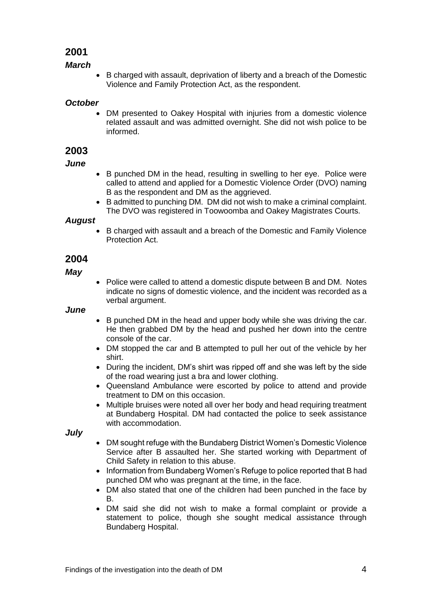## **2001**

#### *March*

 B charged with assault, deprivation of liberty and a breach of the Domestic Violence and Family Protection Act, as the respondent.

#### *October*

 DM presented to Oakey Hospital with injuries from a domestic violence related assault and was admitted overnight. She did not wish police to be informed.

## **2003**

#### *June*

- B punched DM in the head, resulting in swelling to her eye. Police were called to attend and applied for a Domestic Violence Order (DVO) naming B as the respondent and DM as the aggrieved.
- B admitted to punching DM. DM did not wish to make a criminal complaint. The DVO was registered in Toowoomba and Oakey Magistrates Courts.

#### *August*

• B charged with assault and a breach of the Domestic and Family Violence Protection Act.

## **2004**

*May*

 Police were called to attend a domestic dispute between B and DM. Notes indicate no signs of domestic violence, and the incident was recorded as a verbal argument.

#### *June*

- B punched DM in the head and upper body while she was driving the car. He then grabbed DM by the head and pushed her down into the centre console of the car.
- DM stopped the car and B attempted to pull her out of the vehicle by her shirt.
- During the incident, DM's shirt was ripped off and she was left by the side of the road wearing just a bra and lower clothing.
- Queensland Ambulance were escorted by police to attend and provide treatment to DM on this occasion.
- Multiple bruises were noted all over her body and head requiring treatment at Bundaberg Hospital. DM had contacted the police to seek assistance with accommodation.

*July*

- DM sought refuge with the Bundaberg District Women's Domestic Violence Service after B assaulted her. She started working with Department of Child Safety in relation to this abuse.
- Information from Bundaberg Women's Refuge to police reported that B had punched DM who was pregnant at the time, in the face.
- DM also stated that one of the children had been punched in the face by B.
- DM said she did not wish to make a formal complaint or provide a statement to police, though she sought medical assistance through Bundaberg Hospital.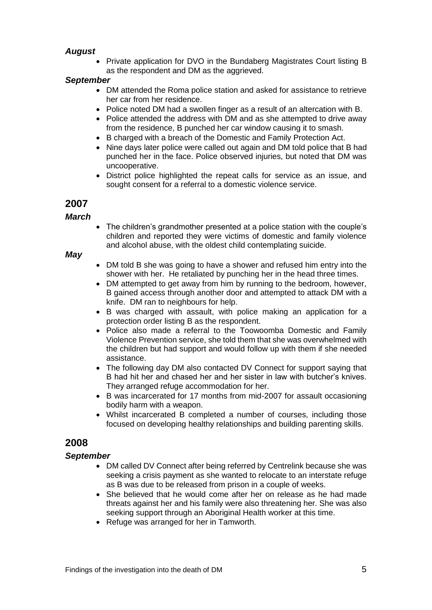## *August*

Private application for DVO in the Bundaberg Magistrates Court listing B as the respondent and DM as the aggrieved.

#### *September*

- DM attended the Roma police station and asked for assistance to retrieve her car from her residence.
- Police noted DM had a swollen finger as a result of an altercation with B.
- Police attended the address with DM and as she attempted to drive away from the residence, B punched her car window causing it to smash.
- B charged with a breach of the Domestic and Family Protection Act.
- Nine days later police were called out again and DM told police that B had punched her in the face. Police observed injuries, but noted that DM was uncooperative.
- District police highlighted the repeat calls for service as an issue, and sought consent for a referral to a domestic violence service.

## **2007**

#### *March*

 The children's grandmother presented at a police station with the couple's children and reported they were victims of domestic and family violence and alcohol abuse, with the oldest child contemplating suicide.

#### *May*

- DM told B she was going to have a shower and refused him entry into the shower with her. He retaliated by punching her in the head three times.
- DM attempted to get away from him by running to the bedroom, however, B gained access through another door and attempted to attack DM with a knife. DM ran to neighbours for help.
- B was charged with assault, with police making an application for a protection order listing B as the respondent.
- Police also made a referral to the Toowoomba Domestic and Family Violence Prevention service, she told them that she was overwhelmed with the children but had support and would follow up with them if she needed assistance.
- The following day DM also contacted DV Connect for support saying that B had hit her and chased her and her sister in law with butcher's knives. They arranged refuge accommodation for her.
- B was incarcerated for 17 months from mid-2007 for assault occasioning bodily harm with a weapon.
- Whilst incarcerated B completed a number of courses, including those focused on developing healthy relationships and building parenting skills.

## **2008**

#### *September*

- DM called DV Connect after being referred by Centrelink because she was seeking a crisis payment as she wanted to relocate to an interstate refuge as B was due to be released from prison in a couple of weeks.
- She believed that he would come after her on release as he had made threats against her and his family were also threatening her. She was also seeking support through an Aboriginal Health worker at this time.
- Refuge was arranged for her in Tamworth.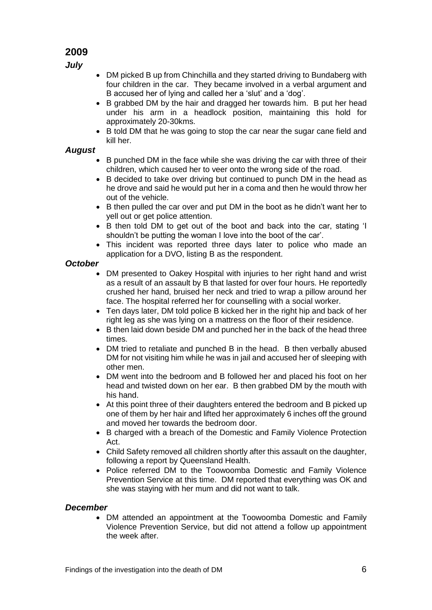## **2009**

*July*

- DM picked B up from Chinchilla and they started driving to Bundaberg with four children in the car. They became involved in a verbal argument and B accused her of lying and called her a 'slut' and a 'dog'.
- B grabbed DM by the hair and dragged her towards him. B put her head under his arm in a headlock position, maintaining this hold for approximately 20-30kms.
- B told DM that he was going to stop the car near the sugar cane field and kill her.

## *August*

- B punched DM in the face while she was driving the car with three of their children, which caused her to veer onto the wrong side of the road.
- B decided to take over driving but continued to punch DM in the head as he drove and said he would put her in a coma and then he would throw her out of the vehicle.
- B then pulled the car over and put DM in the boot as he didn't want her to yell out or get police attention.
- B then told DM to get out of the boot and back into the car, stating 'I shouldn't be putting the woman I love into the boot of the car'.
- This incident was reported three days later to police who made an application for a DVO, listing B as the respondent.

#### *October*

- DM presented to Oakey Hospital with injuries to her right hand and wrist as a result of an assault by B that lasted for over four hours. He reportedly crushed her hand, bruised her neck and tried to wrap a pillow around her face. The hospital referred her for counselling with a social worker.
- Ten days later, DM told police B kicked her in the right hip and back of her right leg as she was lying on a mattress on the floor of their residence.
- B then laid down beside DM and punched her in the back of the head three times.
- DM tried to retaliate and punched B in the head. B then verbally abused DM for not visiting him while he was in jail and accused her of sleeping with other men.
- DM went into the bedroom and B followed her and placed his foot on her head and twisted down on her ear. B then grabbed DM by the mouth with his hand.
- At this point three of their daughters entered the bedroom and B picked up one of them by her hair and lifted her approximately 6 inches off the ground and moved her towards the bedroom door.
- B charged with a breach of the Domestic and Family Violence Protection Act.
- Child Safety removed all children shortly after this assault on the daughter, following a report by Queensland Health.
- Police referred DM to the Toowoomba Domestic and Family Violence Prevention Service at this time. DM reported that everything was OK and she was staying with her mum and did not want to talk.

## *December*

 DM attended an appointment at the Toowoomba Domestic and Family Violence Prevention Service, but did not attend a follow up appointment the week after.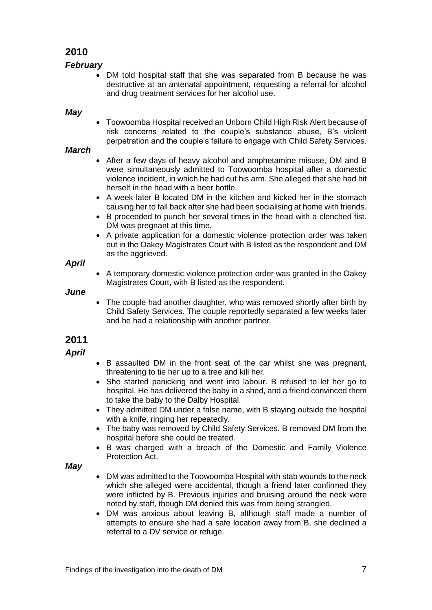# **2010**

## *February*

 DM told hospital staff that she was separated from B because he was destructive at an antenatal appointment, requesting a referral for alcohol and drug treatment services for her alcohol use.

#### *May*

 Toowoomba Hospital received an Unborn Child High Risk Alert because of risk concerns related to the couple's substance abuse, B's violent perpetration and the couple's failure to engage with Child Safety Services.

#### *March*

- After a few days of heavy alcohol and amphetamine misuse. DM and B were simultaneously admitted to Toowoomba hospital after a domestic violence incident, in which he had cut his arm. She alleged that she had hit herself in the head with a beer bottle.
- A week later B located DM in the kitchen and kicked her in the stomach causing her to fall back after she had been socialising at home with friends.
- B proceeded to punch her several times in the head with a clenched fist. DM was pregnant at this time.
- A private application for a domestic violence protection order was taken out in the Oakey Magistrates Court with B listed as the respondent and DM as the aggrieved.

#### *April*

 A temporary domestic violence protection order was granted in the Oakey Magistrates Court, with B listed as the respondent.

#### *June*

• The couple had another daughter, who was removed shortly after birth by Child Safety Services. The couple reportedly separated a few weeks later and he had a relationship with another partner.

### **2011**

#### *April*

- B assaulted DM in the front seat of the car whilst she was pregnant, threatening to tie her up to a tree and kill her.
- She started panicking and went into labour. B refused to let her go to hospital. He has delivered the baby in a shed, and a friend convinced them to take the baby to the Dalby Hospital.
- They admitted DM under a false name, with B staving outside the hospital with a knife, ringing her repeatedly.
- The baby was removed by Child Safety Services. B removed DM from the hospital before she could be treated.
- B was charged with a breach of the Domestic and Family Violence Protection Act.

#### *May*

- DM was admitted to the Toowoomba Hospital with stab wounds to the neck which she alleged were accidental, though a friend later confirmed they were inflicted by B. Previous injuries and bruising around the neck were noted by staff, though DM denied this was from being strangled.
- DM was anxious about leaving B, although staff made a number of attempts to ensure she had a safe location away from B, she declined a referral to a DV service or refuge.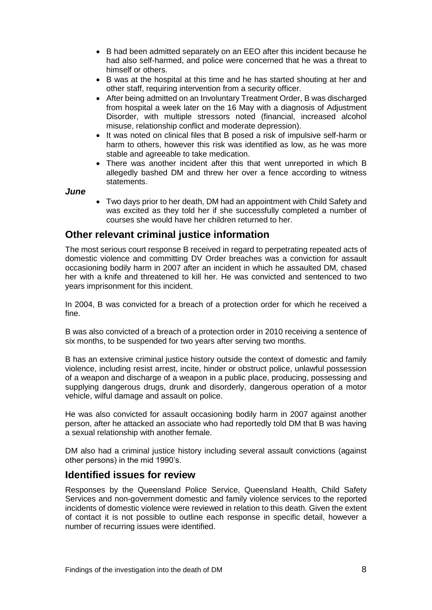- B had been admitted separately on an EEO after this incident because he had also self-harmed, and police were concerned that he was a threat to himself or others.
- B was at the hospital at this time and he has started shouting at her and other staff, requiring intervention from a security officer.
- After being admitted on an Involuntary Treatment Order, B was discharged from hospital a week later on the 16 May with a diagnosis of Adjustment Disorder, with multiple stressors noted (financial, increased alcohol misuse, relationship conflict and moderate depression).
- It was noted on clinical files that B posed a risk of impulsive self-harm or harm to others, however this risk was identified as low, as he was more stable and agreeable to take medication.
- There was another incident after this that went unreported in which B allegedly bashed DM and threw her over a fence according to witness statements.

*June* 

 Two days prior to her death, DM had an appointment with Child Safety and was excited as they told her if she successfully completed a number of courses she would have her children returned to her.

## <span id="page-9-0"></span>**Other relevant criminal justice information**

The most serious court response B received in regard to perpetrating repeated acts of domestic violence and committing DV Order breaches was a conviction for assault occasioning bodily harm in 2007 after an incident in which he assaulted DM, chased her with a knife and threatened to kill her. He was convicted and sentenced to two years imprisonment for this incident.

In 2004, B was convicted for a breach of a protection order for which he received a fine.

B was also convicted of a breach of a protection order in 2010 receiving a sentence of six months, to be suspended for two years after serving two months.

B has an extensive criminal justice history outside the context of domestic and family violence, including resist arrest, incite, hinder or obstruct police, unlawful possession of a weapon and discharge of a weapon in a public place, producing, possessing and supplying dangerous drugs, drunk and disorderly, dangerous operation of a motor vehicle, wilful damage and assault on police.

He was also convicted for assault occasioning bodily harm in 2007 against another person, after he attacked an associate who had reportedly told DM that B was having a sexual relationship with another female.

DM also had a criminal justice history including several assault convictions (against other persons) in the mid 1990's.

## <span id="page-9-1"></span>**Identified issues for review**

Responses by the Queensland Police Service, Queensland Health, Child Safety Services and non-government domestic and family violence services to the reported incidents of domestic violence were reviewed in relation to this death. Given the extent of contact it is not possible to outline each response in specific detail, however a number of recurring issues were identified.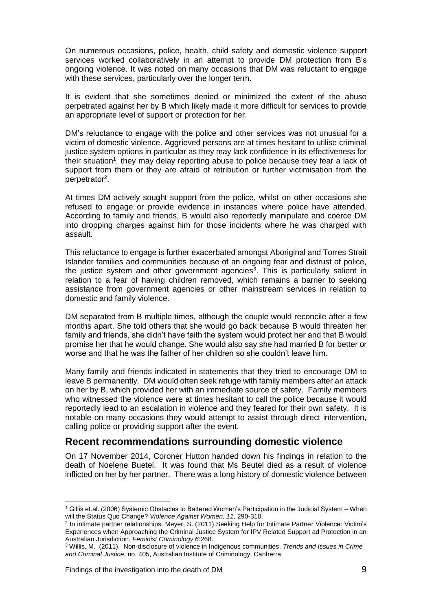On numerous occasions, police, health, child safety and domestic violence support services worked collaboratively in an attempt to provide DM protection from B's ongoing violence. It was noted on many occasions that DM was reluctant to engage with these services, particularly over the longer term.

It is evident that she sometimes denied or minimized the extent of the abuse perpetrated against her by B which likely made it more difficult for services to provide an appropriate level of support or protection for her.

DM's reluctance to engage with the police and other services was not unusual for a victim of domestic violence. Aggrieved persons are at times hesitant to utilise criminal justice system options in particular as they may lack confidence in its effectiveness for their situation<sup>1</sup>, they may delay reporting abuse to police because they fear a lack of support from them or they are afraid of retribution or further victimisation from the perpetrator<sup>2</sup>.

At times DM actively sought support from the police, whilst on other occasions she refused to engage or provide evidence in instances where police have attended. According to family and friends, B would also reportedly manipulate and coerce DM into dropping charges against him for those incidents where he was charged with assault.

This reluctance to engage is further exacerbated amongst Aboriginal and Torres Strait Islander families and communities because of an ongoing fear and distrust of police, the justice system and other government agencies<sup>3</sup>. This is particularly salient in relation to a fear of having children removed, which remains a barrier to seeking assistance from government agencies or other mainstream services in relation to domestic and family violence.

DM separated from B multiple times, although the couple would reconcile after a few months apart. She told others that she would go back because B would threaten her family and friends, she didn't have faith the system would protect her and that B would promise her that he would change. She would also say she had married B for better or worse and that he was the father of her children so she couldn't leave him.

Many family and friends indicated in statements that they tried to encourage DM to leave B permanently. DM would often seek refuge with family members after an attack on her by B, which provided her with an immediate source of safety. Family members who witnessed the violence were at times hesitant to call the police because it would reportedly lead to an escalation in violence and they feared for their own safety. It is notable on many occasions they would attempt to assist through direct intervention, calling police or providing support after the event.

## <span id="page-10-0"></span>**Recent recommendations surrounding domestic violence**

On 17 November 2014, Coroner Hutton handed down his findings in relation to the death of Noelene Buetel. It was found that Ms Beutel died as a result of violence inflicted on her by her partner. There was a long history of domestic violence between

l

<sup>1</sup> Gillis et.al. (2006) Systemic Obstacles to Battered Women's Participation in the Judicial System – When will the Status Quo Change? *Violence Against Women, 11,* 290-310.

<sup>2</sup> In intimate partner relationships. Meyer, S. (2011) Seeking Help for Intimate Partner Violence: Victim's Experiences when Approaching the Criminal Justice System for IPV Related Support ad Protection in an Australian Jurisdiction. *Feminist Criminology 6*:268.

<sup>3</sup> Willis, M. (2011). Non-disclosure of violence in Indigenous communities, *Trends and Issues in Crime and Criminal Justice*, no. 405, Australian Institute of Criminology, Canberra.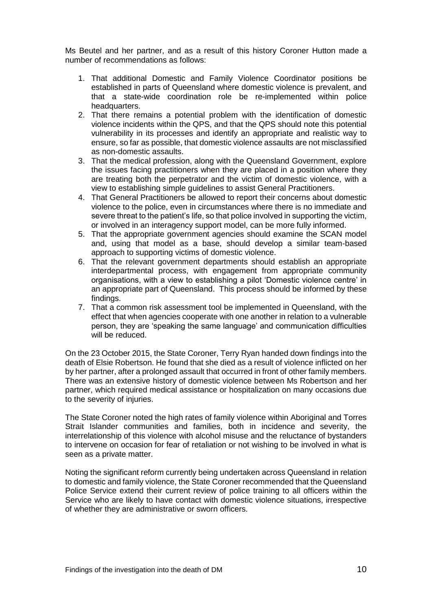Ms Beutel and her partner, and as a result of this history Coroner Hutton made a number of recommendations as follows:

- 1. That additional Domestic and Family Violence Coordinator positions be established in parts of Queensland where domestic violence is prevalent, and that a state-wide coordination role be re-implemented within police headquarters.
- 2. That there remains a potential problem with the identification of domestic violence incidents within the QPS, and that the QPS should note this potential vulnerability in its processes and identify an appropriate and realistic way to ensure, so far as possible, that domestic violence assaults are not misclassified as non-domestic assaults.
- 3. That the medical profession, along with the Queensland Government, explore the issues facing practitioners when they are placed in a position where they are treating both the perpetrator and the victim of domestic violence, with a view to establishing simple guidelines to assist General Practitioners.
- 4. That General Practitioners be allowed to report their concerns about domestic violence to the police, even in circumstances where there is no immediate and severe threat to the patient's life, so that police involved in supporting the victim, or involved in an interagency support model, can be more fully informed.
- 5. That the appropriate government agencies should examine the SCAN model and, using that model as a base, should develop a similar team-based approach to supporting victims of domestic violence.
- 6. That the relevant government departments should establish an appropriate interdepartmental process, with engagement from appropriate community organisations, with a view to establishing a pilot 'Domestic violence centre' in an appropriate part of Queensland. This process should be informed by these findings.
- 7. That a common risk assessment tool be implemented in Queensland, with the effect that when agencies cooperate with one another in relation to a vulnerable person, they are 'speaking the same language' and communication difficulties will be reduced.

On the 23 October 2015, the State Coroner, Terry Ryan handed down findings into the death of Elsie Robertson. He found that she died as a result of violence inflicted on her by her partner, after a prolonged assault that occurred in front of other family members. There was an extensive history of domestic violence between Ms Robertson and her partner, which required medical assistance or hospitalization on many occasions due to the severity of injuries.

The State Coroner noted the high rates of family violence within Aboriginal and Torres Strait Islander communities and families, both in incidence and severity, the interrelationship of this violence with alcohol misuse and the reluctance of bystanders to intervene on occasion for fear of retaliation or not wishing to be involved in what is seen as a private matter.

Noting the significant reform currently being undertaken across Queensland in relation to domestic and family violence, the State Coroner recommended that the Queensland Police Service extend their current review of police training to all officers within the Service who are likely to have contact with domestic violence situations, irrespective of whether they are administrative or sworn officers.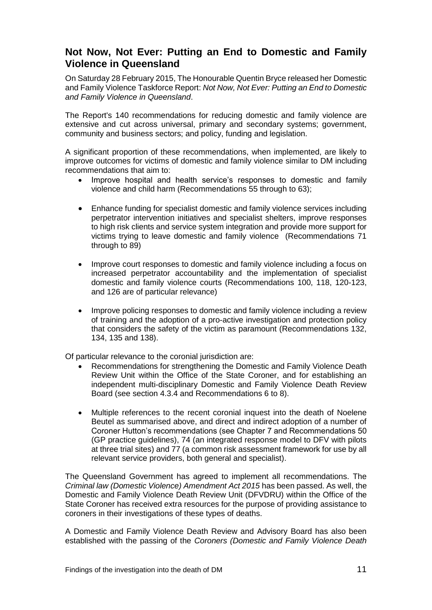# <span id="page-12-0"></span>**Not Now, Not Ever: Putting an End to Domestic and Family Violence in Queensland**

On Saturday 28 February 2015, The Honourable Quentin Bryce released her Domestic and Family Violence Taskforce Report: *Not Now, Not Ever: Putting an End to Domestic and Family Violence in Queensland*.

The Report's 140 recommendations for reducing domestic and family violence are extensive and cut across universal, primary and secondary systems; government, community and business sectors; and policy, funding and legislation.

A significant proportion of these recommendations, when implemented, are likely to improve outcomes for victims of domestic and family violence similar to DM including recommendations that aim to:

- Improve hospital and health service's responses to domestic and family violence and child harm (Recommendations 55 through to 63);
- Enhance funding for specialist domestic and family violence services including perpetrator intervention initiatives and specialist shelters, improve responses to high risk clients and service system integration and provide more support for victims trying to leave domestic and family violence (Recommendations 71 through to 89)
- Improve court responses to domestic and family violence including a focus on increased perpetrator accountability and the implementation of specialist domestic and family violence courts (Recommendations 100, 118, 120-123, and 126 are of particular relevance)
- Improve policing responses to domestic and family violence including a review of training and the adoption of a pro-active investigation and protection policy that considers the safety of the victim as paramount (Recommendations 132, 134, 135 and 138).

Of particular relevance to the coronial jurisdiction are:

- Recommendations for strengthening the Domestic and Family Violence Death Review Unit within the Office of the State Coroner, and for establishing an independent multi-disciplinary Domestic and Family Violence Death Review Board (see section 4.3.4 and Recommendations 6 to 8).
- Multiple references to the recent coronial inquest into the death of Noelene Beutel as summarised above, and direct and indirect adoption of a number of Coroner Hutton's recommendations (see Chapter 7 and Recommendations 50 (GP practice guidelines), 74 (an integrated response model to DFV with pilots at three trial sites) and 77 (a common risk assessment framework for use by all relevant service providers, both general and specialist).

The Queensland Government has agreed to implement all recommendations. The *Criminal law (Domestic Violence) Amendment Act 2015* has been passed. As well, the Domestic and Family Violence Death Review Unit (DFVDRU) within the Office of the State Coroner has received extra resources for the purpose of providing assistance to coroners in their investigations of these types of deaths.

A Domestic and Family Violence Death Review and Advisory Board has also been established with the passing of the *Coroners (Domestic and Family Violence Death*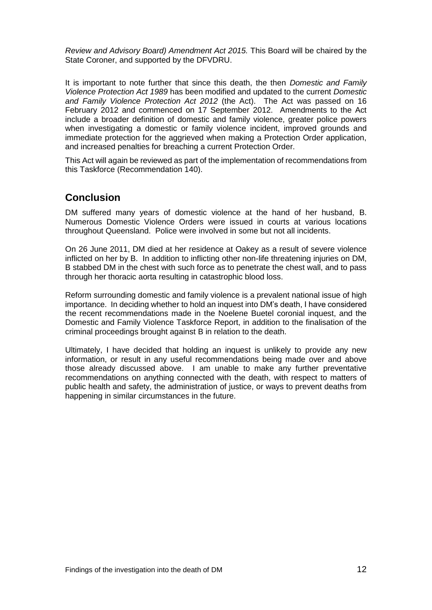*Review and Advisory Board) Amendment Act 2015.* This Board will be chaired by the State Coroner, and supported by the DFVDRU.

It is important to note further that since this death, the then *Domestic and Family Violence Protection Act 1989* has been modified and updated to the current *Domestic and Family Violence Protection Act 2012* (the Act). The Act was passed on 16 February 2012 and commenced on 17 September 2012. Amendments to the Act include a broader definition of domestic and family violence, greater police powers when investigating a domestic or family violence incident, improved grounds and immediate protection for the aggrieved when making a Protection Order application, and increased penalties for breaching a current Protection Order.

This Act will again be reviewed as part of the implementation of recommendations from this Taskforce (Recommendation 140).

## <span id="page-13-0"></span>**Conclusion**

DM suffered many years of domestic violence at the hand of her husband, B. Numerous Domestic Violence Orders were issued in courts at various locations throughout Queensland. Police were involved in some but not all incidents.

On 26 June 2011, DM died at her residence at Oakey as a result of severe violence inflicted on her by B. In addition to inflicting other non-life threatening injuries on DM, B stabbed DM in the chest with such force as to penetrate the chest wall, and to pass through her thoracic aorta resulting in catastrophic blood loss.

Reform surrounding domestic and family violence is a prevalent national issue of high importance. In deciding whether to hold an inquest into DM's death, I have considered the recent recommendations made in the Noelene Buetel coronial inquest, and the Domestic and Family Violence Taskforce Report, in addition to the finalisation of the criminal proceedings brought against B in relation to the death.

Ultimately, I have decided that holding an inquest is unlikely to provide any new information, or result in any useful recommendations being made over and above those already discussed above. I am unable to make any further preventative recommendations on anything connected with the death, with respect to matters of public health and safety, the administration of justice, or ways to prevent deaths from happening in similar circumstances in the future.